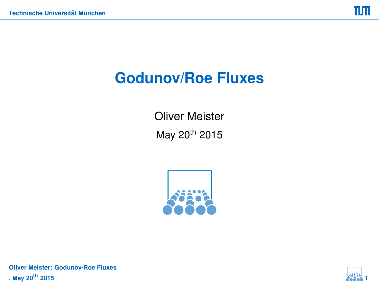# **Godunov/Roe Fluxes**

Oliver Meister May 20th 2015



<span id="page-0-0"></span>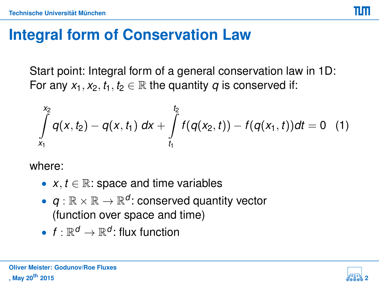## **Integral form of Conservation Law**

Start point: Integral form of a general conservation law in 1D: For any  $x_1, x_2, t_1, t_2 \in \mathbb{R}$  the quantity *q* is conserved if:

$$
\int\limits_{x_1}^{x_2} q(x,t_2) - q(x,t_1) \ dx + \int\limits_{t_1}^{t_2} f(q(x_2,t)) - f(q(x_1,t)) dt = 0 \quad (1)
$$

where:

- $x, t \in \mathbb{R}$ : space and time variables
- $q : \mathbb{R} \times \mathbb{R} \to \mathbb{R}^d$ : conserved quantity vector (function over space and time)
- $f: \mathbb{R}^d \to \mathbb{R}^d$ : flux function

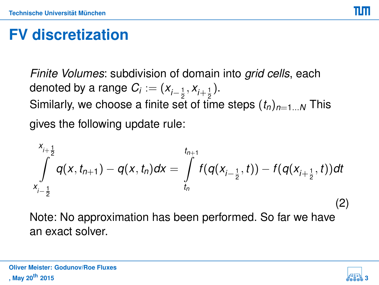# **FV discretization**

*Finite Volumes*: subdivision of domain into *grid cells*, each denoted by a range  $C_i:=(x_{i-\frac{1}{2}},x_{i+\frac{1}{2}}).$ Similarly, we choose a finite set of time steps  $(t_n)_{n=1...N}$  This gives the following update rule:

$$
\int_{x_{i-\frac{1}{2}}}^{x_{i+\frac{1}{2}}} q(x, t_{n+1}) - q(x, t_n) dx = \int_{t_n}^{t_{n+1}} f(q(x_{i-\frac{1}{2}}, t)) - f(q(x_{i+\frac{1}{2}}, t)) dt
$$
\n(2)

Note: No approximation has been performed. So far we have an exact solver.



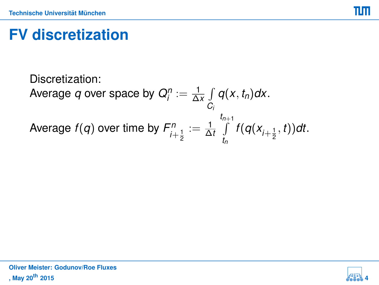пп

## **FV discretization**

Discretization: Average  $q$  over space by  $Q_i^n := \frac{1}{\Delta x} \int$ *Ci q*(*x*, *tn*)*dx*. Average  $f(q)$  over time by  $F_{i+\frac{1}{2}}^n := \frac{1}{\Delta t} \int\limits_{t_0}^{t_{n+1}}$  $\int_{t_n} f(q(x_{i+\frac{1}{2}}, t))dt.$ 

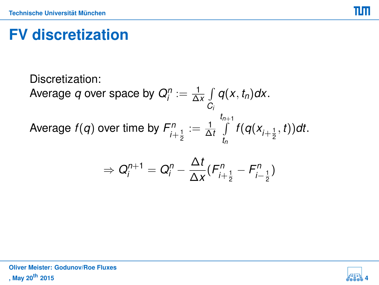пп

# **FV discretization**

Discretization: Average  $q$  over space by  $Q_i^n := \frac{1}{\Delta x} \int$ *Ci q*(*x*, *tn*)*dx*. Average  $f(q)$  over time by  $F_{i+\frac{1}{2}}^n := \frac{1}{\Delta t} \int\limits_{t_0}^{t_{n+1}}$  $\int_{t_n} f(q(x_{i+\frac{1}{2}}, t))dt.$ 

$$
\Rightarrow Q_i^{n+1} = Q_i^n - \frac{\Delta t}{\Delta x} (F_{i+\frac{1}{2}}^n - F_{i-\frac{1}{2}}^n)
$$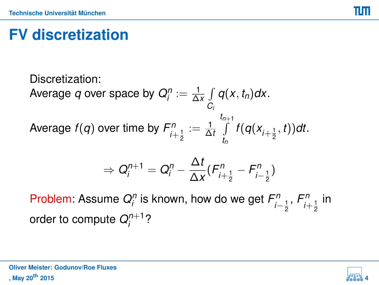## **FV discretization**

Discretization: Average  $q$  over space by  $Q_i^n := \frac{1}{\Delta x} \int$ *Ci q*(*x*, *tn*)*dx*. Average  $f(q)$  over time by  $F_{i+\frac{1}{2}}^n := \frac{1}{\Delta t} \int\limits_{t_0}^{t_{n+1}}$  $\int_{t_n} f(q(x_{i+\frac{1}{2}}, t))dt.$ 

$$
\Rightarrow Q_i^{n+1} = Q_i^n - \frac{\Delta t}{\Delta x} (F_{i+\frac{1}{2}}^n - F_{i-\frac{1}{2}}^n)
$$

Problem: Assume  $Q_i^n$  is known, how do we get  $F_{i-\frac{1}{2}}^n$ ,  $F_{i+\frac{1}{2}}^n$  in order to compute  $Q_i^{n+1}$ ?'<sup>''+</sup><br><sup>i</sup>

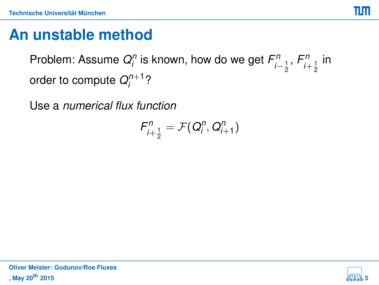### **An unstable method**

Problem: Assume  $Q_i^n$  is known, how do we get  $F_{i-\frac{1}{2}}^n$ ,  $F_{i+\frac{1}{2}}^n$  in order to compute  $Q_i^{n+1}$ ?'<sup>+י</sup>'

Use a *numerical flux function*

$$
F_{i+\frac{1}{2}}^n = \mathcal{F}(Q_i^n, Q_{i+1}^n)
$$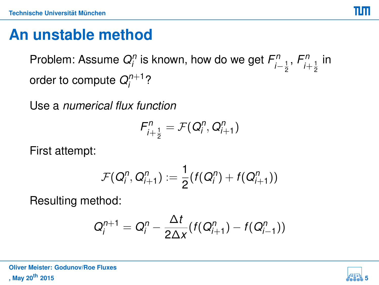### **An unstable method**

Problem: Assume  $Q_i^n$  is known, how do we get  $F_{i-\frac{1}{2}}^n$ ,  $F_{i+\frac{1}{2}}^n$  in order to compute  $Q_i^{n+1}$ ?'<sup>+י</sup>'

Use a *numerical flux function*

$$
F_{i+\frac{1}{2}}^n = \mathcal{F}(Q_i^n, Q_{i+1}^n)
$$

First attempt:

$$
\mathcal{F}(Q_i^n, Q_{i+1}^n) := \frac{1}{2}(f(Q_i^n) + f(Q_{i+1}^n))
$$

Resulting method:

$$
Q_i^{n+1} = Q_i^n - \frac{\Delta t}{2\Delta x}(f(Q_{i+1}^n) - f(Q_{i-1}^n))
$$

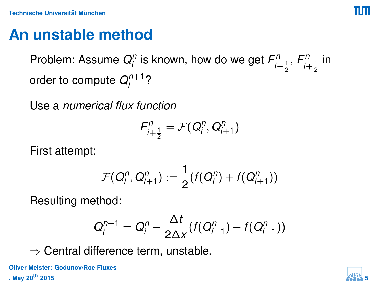## **An unstable method**

Problem: Assume  $Q_i^n$  is known, how do we get  $F_{i-\frac{1}{2}}^n$ ,  $F_{i+\frac{1}{2}}^n$  in order to compute  $Q_i^{n+1}$ ?'<sup>+י</sup>'

Use a *numerical flux function*

$$
F_{i+\frac{1}{2}}^n = \mathcal{F}(Q_i^n, Q_{i+1}^n)
$$

First attempt:

$$
\mathcal{F}(Q_i^n, Q_{i+1}^n) := \frac{1}{2}(f(Q_i^n) + f(Q_{i+1}^n))
$$

Resulting method:

$$
Q_i^{n+1} = Q_i^n - \frac{\Delta t}{2\Delta x}(f(Q_{i+1}^n) - f(Q_{i-1}^n))
$$

 $\Rightarrow$  Central difference term, unstable.

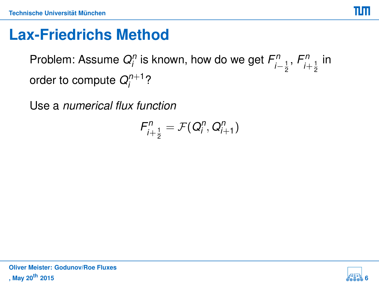### **Lax-Friedrichs Method**

Problem: Assume  $Q_i^n$  is known, how do we get  $F_{i-\frac{1}{2}}^n$ ,  $F_{i+\frac{1}{2}}^n$  in order to compute  $Q_i^{n+1}$ ?'<sup>+י</sup>'

Use a *numerical flux function*

$$
F_{i+\frac{1}{2}}^n = \mathcal{F}(Q_i^n, Q_{i+1}^n)
$$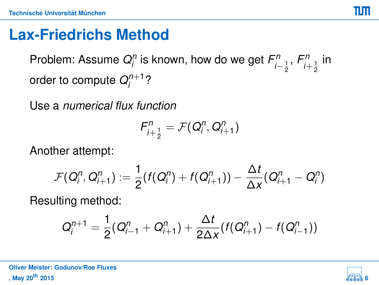## **Lax-Friedrichs Method**

Problem: Assume  $Q_i^n$  is known, how do we get  $F_{i-\frac{1}{2}}^n$ ,  $F_{i+\frac{1}{2}}^n$  in order to compute  $Q_i^{n+1}$ ?'<sup>+י</sup>'

Use a *numerical flux function*

$$
F_{i+\frac{1}{2}}^n = \mathcal{F}(Q_i^n, Q_{i+1}^n)
$$

Another attempt:

$$
\mathcal{F}(Q_{i}^{n},Q_{i+1}^{n}) := \frac{1}{2}(f(Q_{i}^{n}) + f(Q_{i+1}^{n})) - \frac{\Delta t}{\Delta x}(Q_{i+1}^{n} - Q_{i}^{n})
$$

Resulting method:

$$
Q_i^{n+1} = \frac{1}{2}(Q_{i-1}^n + Q_{i+1}^n) + \frac{\Delta t}{2\Delta x}(f(Q_{i+1}^n) - f(Q_{i-1}^n))
$$

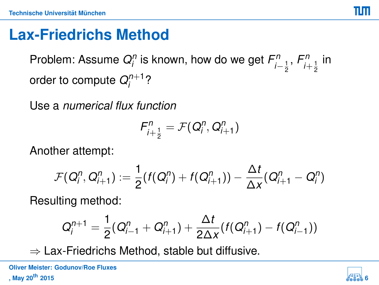### **Lax-Friedrichs Method**

Problem: Assume  $Q_i^n$  is known, how do we get  $F_{i-\frac{1}{2}}^n$ ,  $F_{i+\frac{1}{2}}^n$  in order to compute  $Q_i^{n+1}$ ?'<sup>+י</sup>'

Use a *numerical flux function*

$$
F_{i+\frac{1}{2}}^n = \mathcal{F}(Q_i^n, Q_{i+1}^n)
$$

Another attempt:

$$
\mathcal{F}(Q_{i}^{n},Q_{i+1}^{n}) := \frac{1}{2}(f(Q_{i}^{n}) + f(Q_{i+1}^{n})) - \frac{\Delta t}{\Delta x}(Q_{i+1}^{n} - Q_{i}^{n})
$$

Resulting method:

$$
Q_i^{n+1} = \frac{1}{2}(Q_{i-1}^n + Q_{i+1}^n) + \frac{\Delta t}{2\Delta x}(f(Q_{i+1}^n) - f(Q_{i-1}^n))
$$

 $\Rightarrow$  Lax-Friedrichs Method, stable but diffusive.

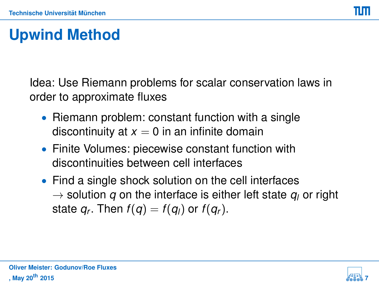Idea: Use Riemann problems for scalar conservation laws in order to approximate fluxes

- Riemann problem: constant function with a single discontinuity at  $x = 0$  in an infinite domain
- Finite Volumes: piecewise constant function with discontinuities between cell interfaces
- Find a single shock solution on the cell interfaces  $\rightarrow$  solution *q* on the interface is either left state  $q_i$  or right state  $q_r$ . Then  $f(q) = f(q_l)$  or  $f(q_r)$ .

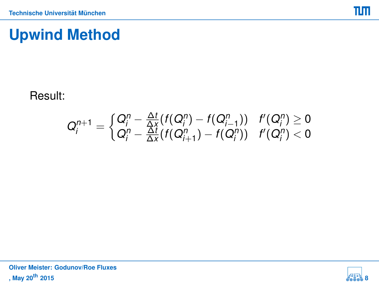#### Result:

$$
Q_i^{n+1} = \begin{cases} Q_i^n - \frac{\Delta t}{\Delta x}(f(Q_i^n) - f(Q_{i-1}^n)) & f'(Q_i^n) \ge 0 \\ Q_i^n - \frac{\Delta t}{\Delta x}(f(Q_{i+1}^n) - f(Q_i^n)) & f'(Q_i^n) < 0 \end{cases}
$$

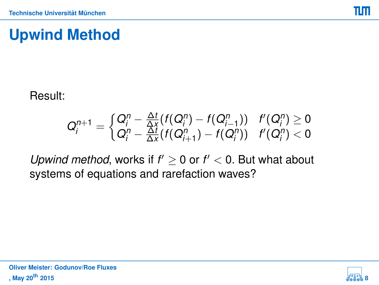#### Result:

$$
Q_i^{n+1} = \begin{cases} Q_i^n - \frac{\Delta t}{\Delta x}(f(Q_i^n) - f(Q_{i-1}^n)) & f'(Q_i^n) \ge 0 \\ Q_i^n - \frac{\Delta t}{\Delta x}(f(Q_{i+1}^n) - f(Q_i^n)) & f'(Q_i^n) < 0 \end{cases}
$$

*Upwind method*, works if  $f' \geq 0$  or  $f' < 0$ . But what about systems of equations and rarefaction waves?

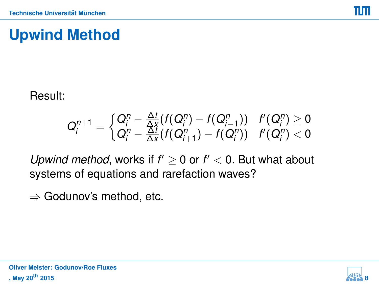#### Result:

$$
Q_i^{n+1} = \begin{cases} Q_i^n - \frac{\Delta t}{\Delta x}(f(Q_i^n) - f(Q_{i-1}^n)) & f'(Q_i^n) \ge 0 \\ Q_i^n - \frac{\Delta t}{\Delta x}(f(Q_{i+1}^n) - f(Q_i^n)) & f'(Q_i^n) < 0 \end{cases}
$$

*Upwind method*, works if  $f' \geq 0$  or  $f' < 0$ . But what about systems of equations and rarefaction waves?

 $\Rightarrow$  Godunov's method, etc.

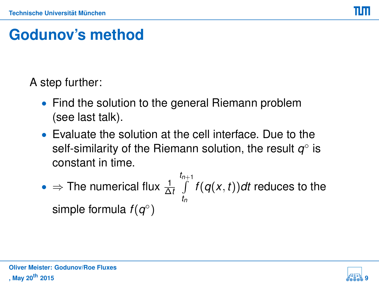# **Godunov's method**

A step further:

- Find the solution to the general Riemann problem (see last talk).
- Evaluate the solution at the cell interface. Due to the self-similarity of the Riemann solution, the result  $q^{\circ}$  is constant in time.
- $\Rightarrow$  The numerical flux  $\frac{1}{\Delta t}\int\limits_0^{t_{n+1}}$ *tn f*(*q*(*x*, *t*))*dt* reduces to the simple formula  $f(q^{\circ})$

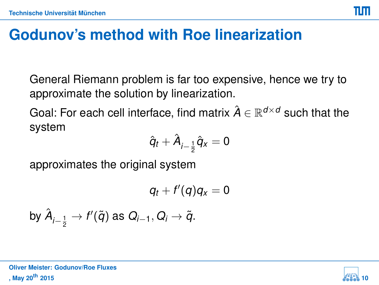General Riemann problem is far too expensive, hence we try to approximate the solution by linearization.

Goal: For each cell interface, find matrix  $\hat{A} \in \mathbb{R}^{d \times d}$  such that the system

$$
\hat{q}_t+\hat{A}_{i-\frac{1}{2}}\hat{q}_x=0
$$

approximates the original system

$$
q_t + f'(q)q_x = 0
$$

by 
$$
\hat{A}_{i-\frac{1}{2}} \to f'(\tilde{q})
$$
 as  $Q_{i-1}, Q_i \to \tilde{q}$ .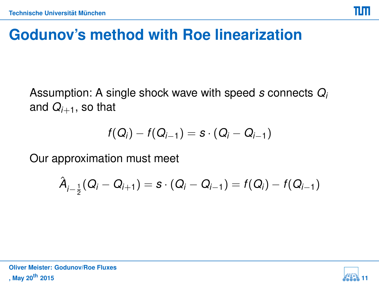Assumption: A single shock wave with speed *s* connects *Q<sup>i</sup>* and  $Q_{i+1}$ , so that

$$
f(Q_i)-f(Q_{i-1})=s\cdot (Q_i-Q_{i-1})
$$

Our approximation must meet

$$
\hat{A}_{i-\frac{1}{2}}(Q_i - Q_{i+1}) = s \cdot (Q_i - Q_{i-1}) = f(Q_i) - f(Q_{i-1})
$$

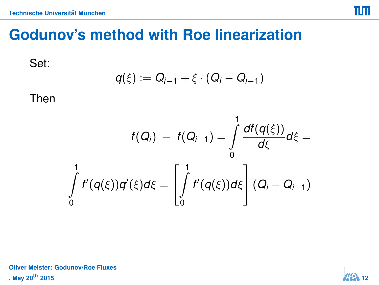Set:

$$
q(\xi):=Q_{i-1}+\xi\cdot(Q_i-Q_{i-1})
$$

Then

$$
f(Q_i) - f(Q_{i-1}) = \int_{0}^{1} \frac{df(q(\xi))}{d\xi} d\xi = \int_{0}^{1} f'(q(\xi))q'(\xi) d\xi = \left[\int_{0}^{1} f'(q(\xi))d\xi\right](Q_i - Q_{i-1})
$$

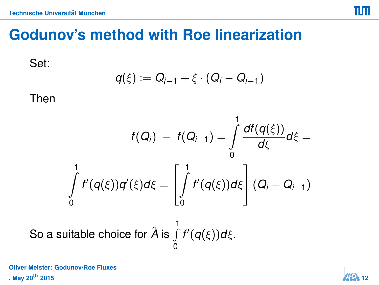Set:

$$
q(\xi):=Q_{i-1}+\xi\cdot(Q_i-Q_{i-1})
$$

Then

$$
f(Q_i) - f(Q_{i-1}) = \int_0^1 \frac{df(q(\xi))}{d\xi} d\xi = \int_0^1 f'(q(\xi)) d\xi
$$
  
So a suitable choice for  $\hat{A}$  is  $\int_0^1 f'(q(\xi)) d\xi$ .



πm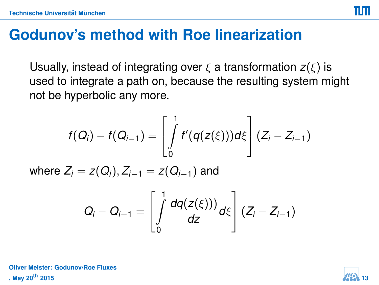Usually, instead of integrating over  $\xi$  a transformation  $z(\xi)$  is used to integrate a path on, because the resulting system might not be hyperbolic any more.

$$
f(Q_i) - f(Q_{i-1}) = \left[\int_0^1 f'(q(z(\xi)))d\xi\right](Z_i - Z_{i-1})
$$
  
where  $Z_i = z(Q_i), Z_{i-1} = z(Q_{i-1})$  and  

$$
Q_i - Q_{i-1} = \left[\int_0^1 \frac{dq(z(\xi))}{dz}d\xi\right](Z_i - Z_{i-1})
$$



піп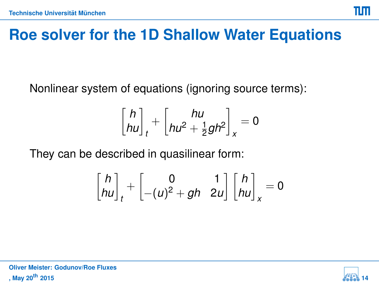### **Roe solver for the 1D Shallow Water Equations**

Nonlinear system of equations (ignoring source terms):

$$
\begin{bmatrix} h \\ h u \end{bmatrix}_t + \begin{bmatrix} h u \\ h u^2 + \frac{1}{2} g h^2 \end{bmatrix}_x = 0
$$

They can be described in quasilinear form:

$$
\begin{bmatrix} h \\ h u \end{bmatrix}_t + \begin{bmatrix} 0 & 1 \\ -(u)^2 + gh & 2u \end{bmatrix} \begin{bmatrix} h \\ h u \end{bmatrix}_x = 0
$$



ππ